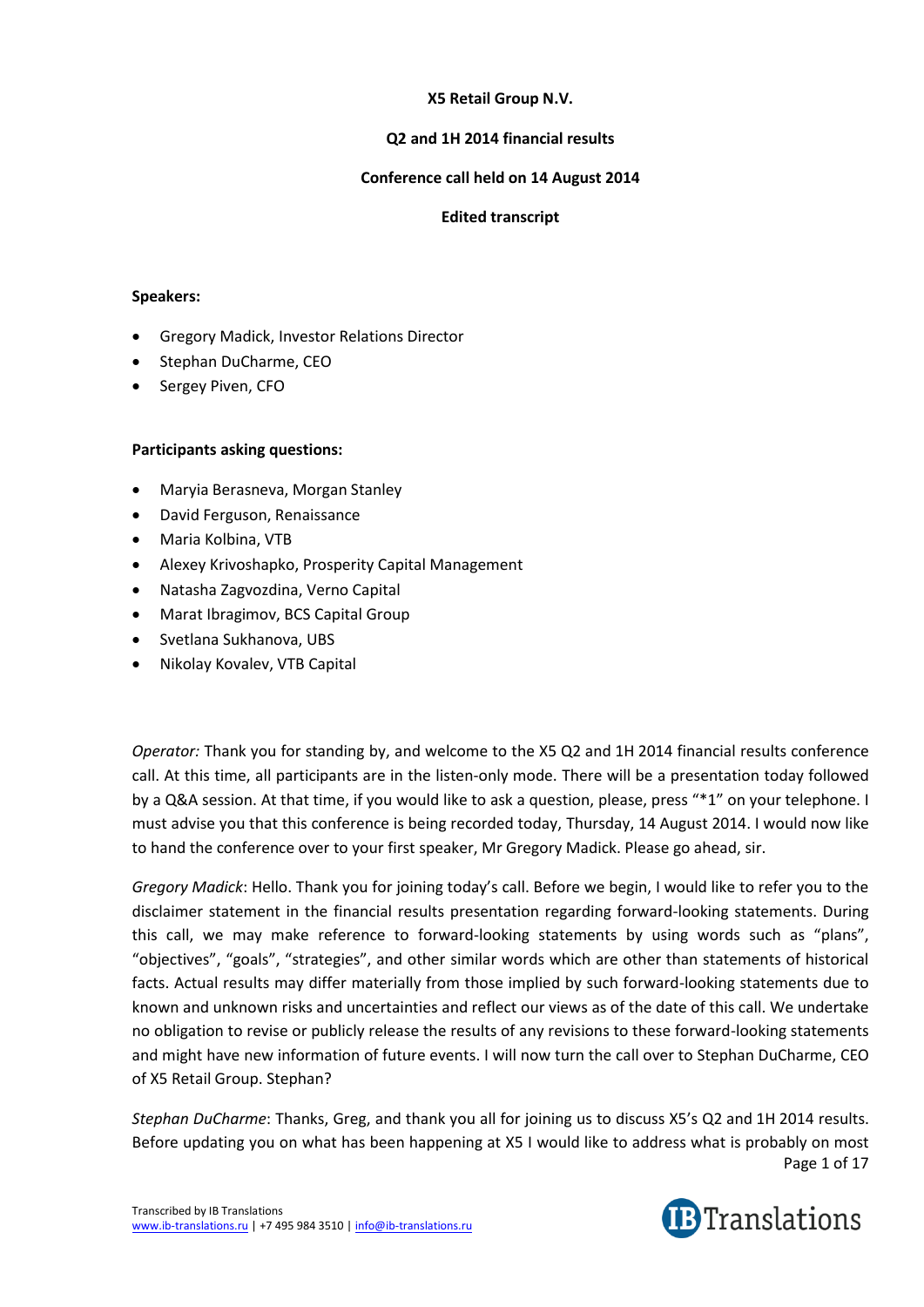# **X5 Retail Group N.V.**

## **Q2 and 1H 2014 financial results**

## **Conference call held on 14 August 2014**

## **Edited transcript**

#### **Speakers:**

- Gregory Madick, Investor Relations Director
- Stephan DuCharme, CEO
- Sergey Piven, CFO

## **Participants asking questions:**

- Maryia Berasneva, Morgan Stanley
- David Ferguson, Renaissance
- Maria Kolbina, VTB
- Alexey Krivoshapko, Prosperity Capital Management
- Natasha Zagvozdina, Verno Capital
- Marat Ibragimov, BCS Capital Group
- Svetlana Sukhanova, UBS
- Nikolay Kovalev, VTB Capital

*Operator:* Thank you for standing by, and welcome to the X5 Q2 and 1H 2014 financial results conference call. At this time, all participants are in the listen-only mode. There will be a presentation today followed by a Q&A session. At that time, if you would like to ask a question, please, press "\*1" on your telephone. I must advise you that this conference is being recorded today, Thursday, 14 August 2014. I would now like to hand the conference over to your first speaker, Mr Gregory Madick. Please go ahead, sir.

*Gregory Madick*: Hello. Thank you for joining today's call. Before we begin, I would like to refer you to the disclaimer statement in the financial results presentation regarding forward-looking statements. During this call, we may make reference to forward-looking statements by using words such as "plans", "objectives", "goals", "strategies", and other similar words which are other than statements of historical facts. Actual results may differ materially from those implied by such forward-looking statements due to known and unknown risks and uncertainties and reflect our views as of the date of this call. We undertake no obligation to revise or publicly release the results of any revisions to these forward-looking statements and might have new information of future events. I will now turn the call over to Stephan DuCharme, CEO of X5 Retail Group. Stephan?

Page 1 of 17 *Stephan DuCharme*: Thanks, Greg, and thank you all for joining us to discuss X5's Q2 and 1H 2014 results. Before updating you on what has been happening at X5 I would like to address what is probably on most

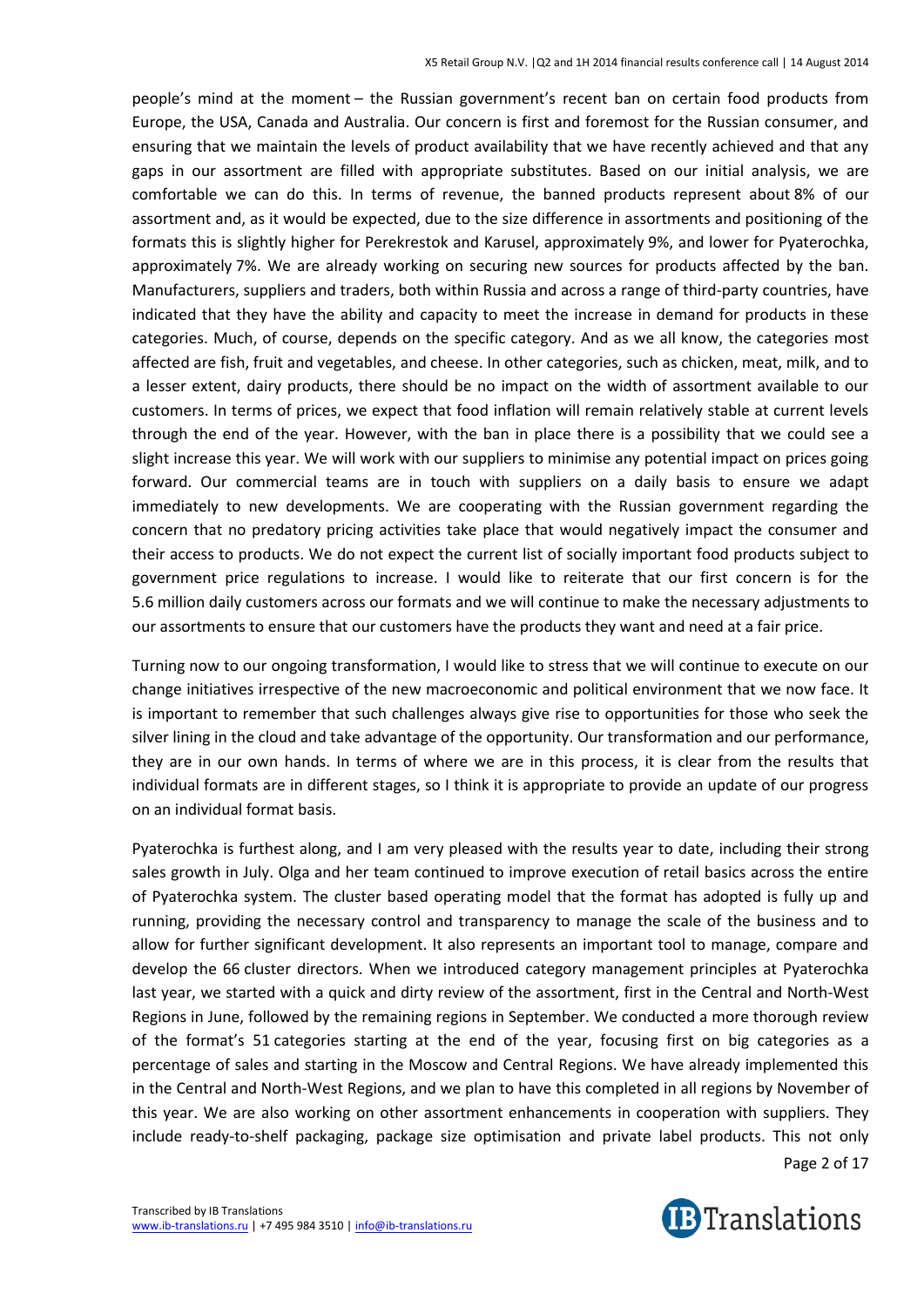people's mind at the moment – the Russian government's recent ban on certain food products from Europe, the USA, Canada and Australia. Our concern is first and foremost for the Russian consumer, and ensuring that we maintain the levels of product availability that we have recently achieved and that any gaps in our assortment are filled with appropriate substitutes. Based on our initial analysis, we are comfortable we can do this. In terms of revenue, the banned products represent about 8% of our assortment and, as it would be expected, due to the size difference in assortments and positioning of the formats this is slightly higher for Perekrestok and Karusel, approximately 9%, and lower for Pyaterochka, approximately 7%. We are already working on securing new sources for products affected by the ban. Manufacturers, suppliers and traders, both within Russia and across a range of third-party countries, have indicated that they have the ability and capacity to meet the increase in demand for products in these categories. Much, of course, depends on the specific category. And as we all know, the categories most affected are fish, fruit and vegetables, and cheese. In other categories, such as chicken, meat, milk, and to a lesser extent, dairy products, there should be no impact on the width of assortment available to our customers. In terms of prices, we expect that food inflation will remain relatively stable at current levels through the end of the year. However, with the ban in place there is a possibility that we could see a slight increase this year. We will work with our suppliers to minimise any potential impact on prices going forward. Our commercial teams are in touch with suppliers on a daily basis to ensure we adapt immediately to new developments. We are cooperating with the Russian government regarding the concern that no predatory pricing activities take place that would negatively impact the consumer and their access to products. We do not expect the current list of socially important food products subject to government price regulations to increase. I would like to reiterate that our first concern is for the 5.6 million daily customers across our formats and we will continue to make the necessary adjustments to our assortments to ensure that our customers have the products they want and need at a fair price.

Turning now to our ongoing transformation, I would like to stress that we will continue to execute on our change initiatives irrespective of the new macroeconomic and political environment that we now face. It is important to remember that such challenges always give rise to opportunities for those who seek the silver lining in the cloud and take advantage of the opportunity. Our transformation and our performance, they are in our own hands. In terms of where we are in this process, it is clear from the results that individual formats are in different stages, so I think it is appropriate to provide an update of our progress on an individual format basis.

Pyaterochka is furthest along, and I am very pleased with the results year to date, including their strong sales growth in July. Olga and her team continued to improve execution of retail basics across the entire of Pyaterochka system. The cluster based operating model that the format has adopted is fully up and running, providing the necessary control and transparency to manage the scale of the business and to allow for further significant development. It also represents an important tool to manage, compare and develop the 66 cluster directors. When we introduced category management principles at Pyaterochka last year, we started with a quick and dirty review of the assortment, first in the Central and North-West Regions in June, followed by the remaining regions in September. We conducted a more thorough review of the format's 51 categories starting at the end of the year, focusing first on big categories as a percentage of sales and starting in the Moscow and Central Regions. We have already implemented this in the Central and North-West Regions, and we plan to have this completed in all regions by November of this year. We are also working on other assortment enhancements in cooperation with suppliers. They include ready-to-shelf packaging, package size optimisation and private label products. This not only

Page 2 of 17

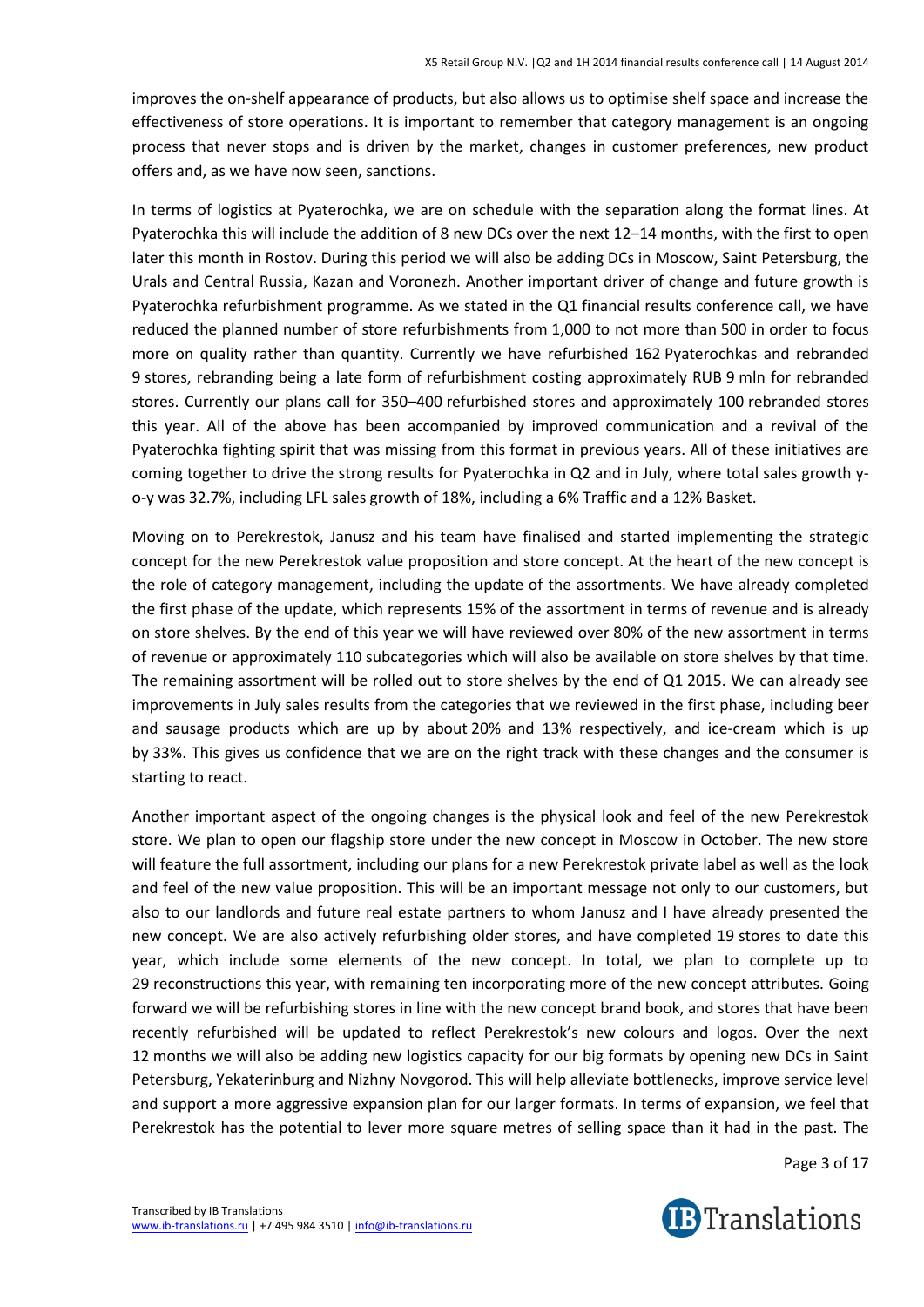improves the on-shelf appearance of products, but also allows us to optimise shelf space and increase the effectiveness of store operations. It is important to remember that category management is an ongoing process that never stops and is driven by the market, changes in customer preferences, new product offers and, as we have now seen, sanctions.

In terms of logistics at Pyaterochka, we are on schedule with the separation along the format lines. At Pyaterochka this will include the addition of 8 new DCs over the next 12–14 months, with the first to open later this month in Rostov. During this period we will also be adding DCs in Moscow, Saint Petersburg, the Urals and Central Russia, Kazan and Voronezh. Another important driver of change and future growth is Pyaterochka refurbishment programme. As we stated in the Q1 financial results conference call, we have reduced the planned number of store refurbishments from 1,000 to not more than 500 in order to focus more on quality rather than quantity. Currently we have refurbished 162 Pyaterochkas and rebranded 9 stores, rebranding being a late form of refurbishment costing approximately RUB 9 mln for rebranded stores. Currently our plans call for 350–400 refurbished stores and approximately 100 rebranded stores this year. All of the above has been accompanied by improved communication and a revival of the Pyaterochka fighting spirit that was missing from this format in previous years. All of these initiatives are coming together to drive the strong results for Pyaterochka in Q2 and in July, where total sales growth yo-y was 32.7%, including LFL sales growth of 18%, including a 6% Traffic and a 12% Basket.

Moving on to Perekrestok, Janusz and his team have finalised and started implementing the strategic concept for the new Perekrestok value proposition and store concept. At the heart of the new concept is the role of category management, including the update of the assortments. We have already completed the first phase of the update, which represents 15% of the assortment in terms of revenue and is already on store shelves. By the end of this year we will have reviewed over 80% of the new assortment in terms of revenue or approximately 110 subcategories which will also be available on store shelves by that time. The remaining assortment will be rolled out to store shelves by the end of Q1 2015. We can already see improvements in July sales results from the categories that we reviewed in the first phase, including beer and sausage products which are up by about 20% and 13% respectively, and ice-cream which is up by 33%. This gives us confidence that we are on the right track with these changes and the consumer is starting to react.

Another important aspect of the ongoing changes is the physical look and feel of the new Perekrestok store. We plan to open our flagship store under the new concept in Moscow in October. The new store will feature the full assortment, including our plans for a new Perekrestok private label as well as the look and feel of the new value proposition. This will be an important message not only to our customers, but also to our landlords and future real estate partners to whom Janusz and I have already presented the new concept. We are also actively refurbishing older stores, and have completed 19 stores to date this year, which include some elements of the new concept. In total, we plan to complete up to 29 reconstructions this year, with remaining ten incorporating more of the new concept attributes. Going forward we will be refurbishing stores in line with the new concept brand book, and stores that have been recently refurbished will be updated to reflect Perekrestok's new colours and logos. Over the next 12 months we will also be adding new logistics capacity for our big formats by opening new DCs in Saint Petersburg, Yekaterinburg and Nizhny Novgorod. This will help alleviate bottlenecks, improve service level and support a more aggressive expansion plan for our larger formats. In terms of expansion, we feel that Perekrestok has the potential to lever more square metres of selling space than it had in the past. The

Page 3 of 17

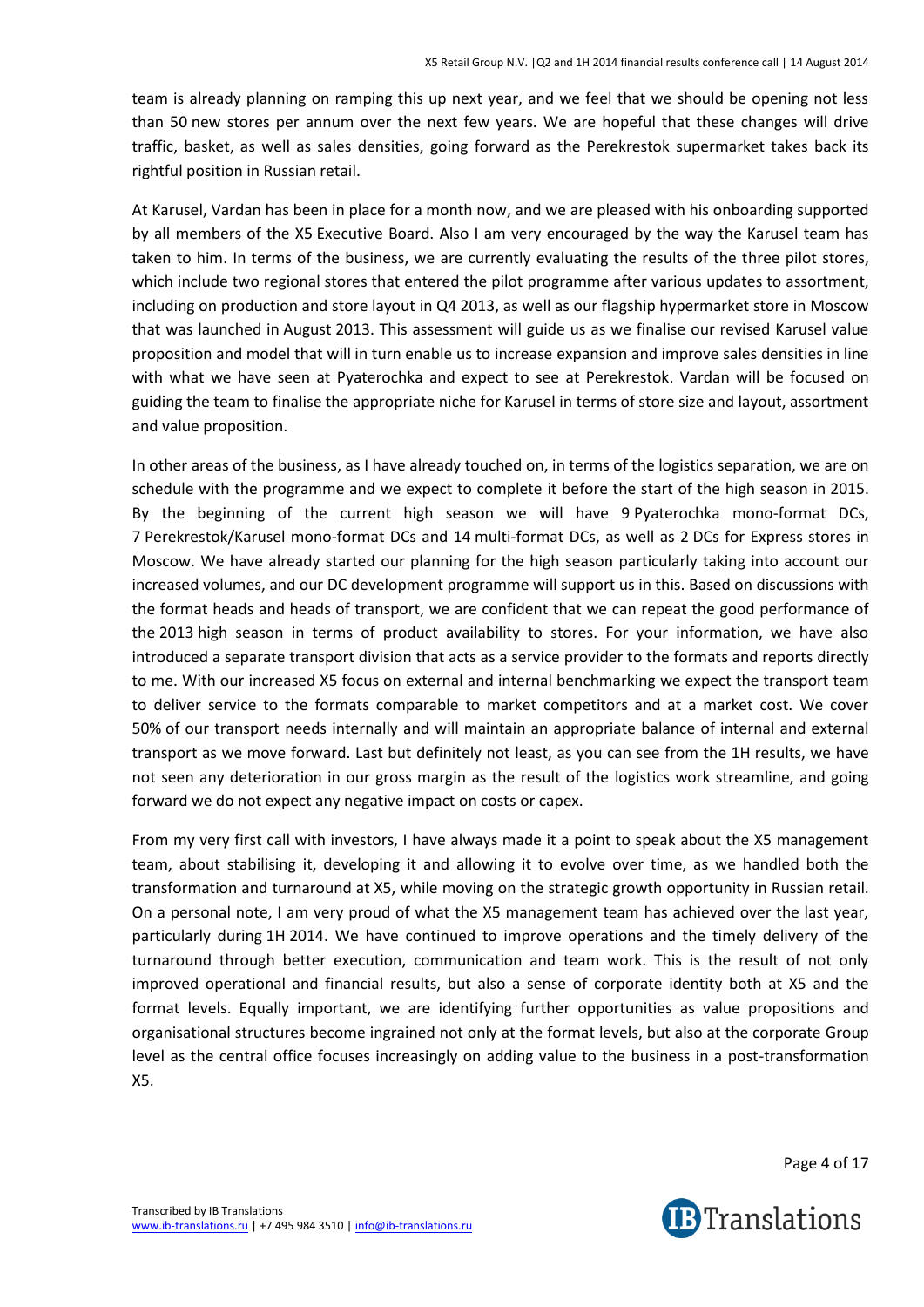team is already planning on ramping this up next year, and we feel that we should be opening not less than 50 new stores per annum over the next few years. We are hopeful that these changes will drive traffic, basket, as well as sales densities, going forward as the Perekrestok supermarket takes back its rightful position in Russian retail.

At Karusel, Vardan has been in place for a month now, and we are pleased with his onboarding supported by all members of the X5 Executive Board. Also I am very encouraged by the way the Karusel team has taken to him. In terms of the business, we are currently evaluating the results of the three pilot stores, which include two regional stores that entered the pilot programme after various updates to assortment, including on production and store layout in Q4 2013, as well as our flagship hypermarket store in Moscow that was launched in August 2013. This assessment will guide us as we finalise our revised Karusel value proposition and model that will in turn enable us to increase expansion and improve sales densities in line with what we have seen at Pyaterochka and expect to see at Perekrestok. Vardan will be focused on guiding the team to finalise the appropriate niche for Karusel in terms of store size and layout, assortment and value proposition.

In other areas of the business, as I have already touched on, in terms of the logistics separation, we are on schedule with the programme and we expect to complete it before the start of the high season in 2015. By the beginning of the current high season we will have 9 Pyaterochka mono-format DCs, 7 Perekrestok/Karusel mono-format DCs and 14 multi-format DCs, as well as 2 DCs for Express stores in Moscow. We have already started our planning for the high season particularly taking into account our increased volumes, and our DC development programme will support us in this. Based on discussions with the format heads and heads of transport, we are confident that we can repeat the good performance of the 2013 high season in terms of product availability to stores. For your information, we have also introduced a separate transport division that acts as a service provider to the formats and reports directly to me. With our increased X5 focus on external and internal benchmarking we expect the transport team to deliver service to the formats comparable to market competitors and at a market cost. We cover 50% of our transport needs internally and will maintain an appropriate balance of internal and external transport as we move forward. Last but definitely not least, as you can see from the 1H results, we have not seen any deterioration in our gross margin as the result of the logistics work streamline, and going forward we do not expect any negative impact on costs or capex.

From my very first call with investors, I have always made it a point to speak about the X5 management team, about stabilising it, developing it and allowing it to evolve over time, as we handled both the transformation and turnaround at X5, while moving on the strategic growth opportunity in Russian retail. On a personal note, I am very proud of what the X5 management team has achieved over the last year, particularly during 1H 2014. We have continued to improve operations and the timely delivery of the turnaround through better execution, communication and team work. This is the result of not only improved operational and financial results, but also a sense of corporate identity both at X5 and the format levels. Equally important, we are identifying further opportunities as value propositions and organisational structures become ingrained not only at the format levels, but also at the corporate Group level as the central office focuses increasingly on adding value to the business in a post-transformation X5.

Page 4 of 17

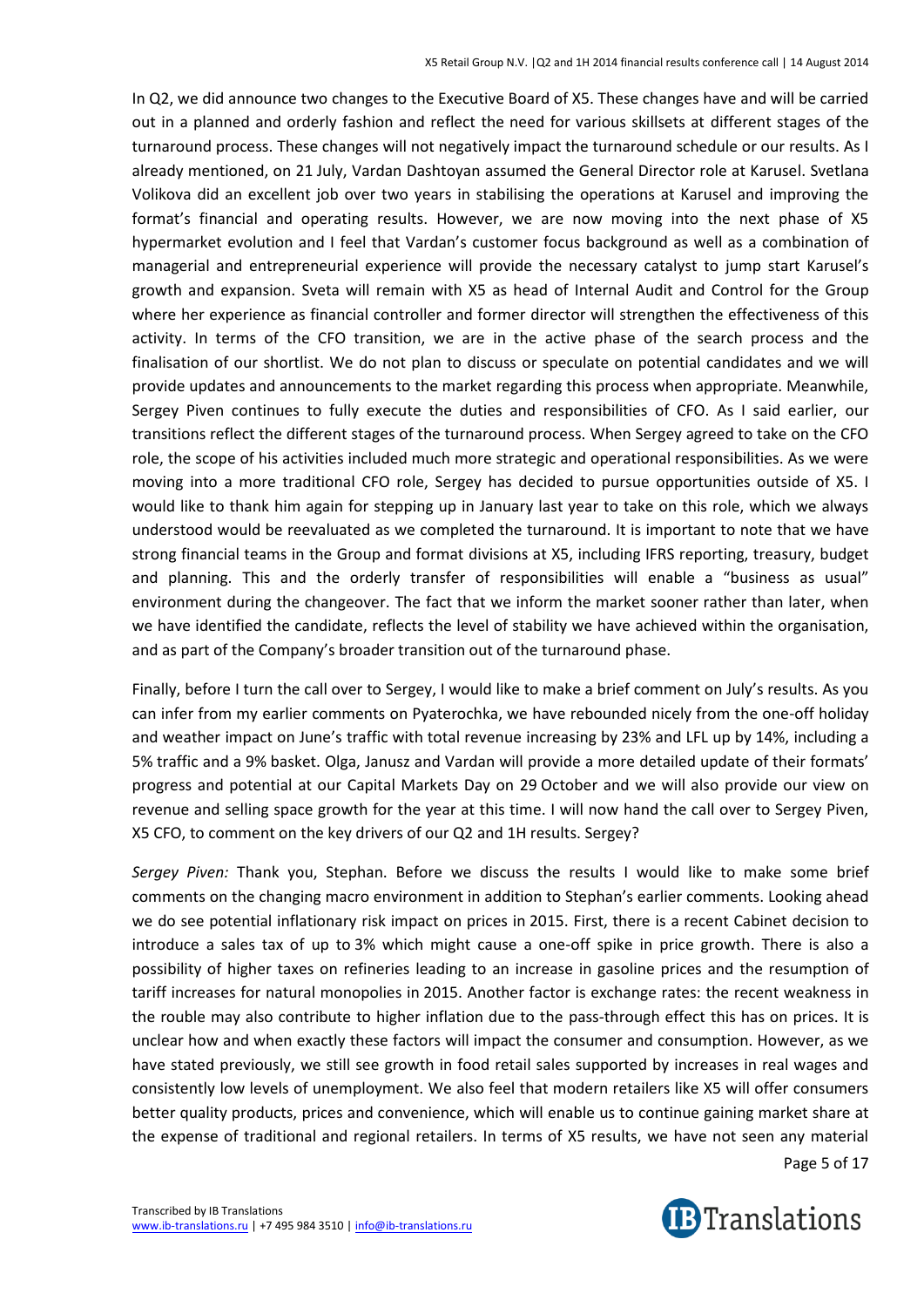In Q2, we did announce two changes to the Executive Board of X5. These changes have and will be carried out in a planned and orderly fashion and reflect the need for various skillsets at different stages of the turnaround process. These changes will not negatively impact the turnaround schedule or our results. As I already mentioned, on 21 July, Vardan Dashtoyan assumed the General Director role at Karusel. Svetlana Volikova did an excellent job over two years in stabilising the operations at Karusel and improving the format's financial and operating results. However, we are now moving into the next phase of X5 hypermarket evolution and I feel that Vardan's customer focus background as well as a combination of managerial and entrepreneurial experience will provide the necessary catalyst to jump start Karusel's growth and expansion. Sveta will remain with X5 as head of Internal Audit and Control for the Group where her experience as financial controller and former director will strengthen the effectiveness of this activity. In terms of the CFO transition, we are in the active phase of the search process and the finalisation of our shortlist. We do not plan to discuss or speculate on potential candidates and we will provide updates and announcements to the market regarding this process when appropriate. Meanwhile, Sergey Piven continues to fully execute the duties and responsibilities of CFO. As I said earlier, our transitions reflect the different stages of the turnaround process. When Sergey agreed to take on the CFO role, the scope of his activities included much more strategic and operational responsibilities. As we were moving into a more traditional CFO role, Sergey has decided to pursue opportunities outside of X5. I would like to thank him again for stepping up in January last year to take on this role, which we always understood would be reevaluated as we completed the turnaround. It is important to note that we have strong financial teams in the Group and format divisions at X5, including IFRS reporting, treasury, budget and planning. This and the orderly transfer of responsibilities will enable a "business as usual" environment during the changeover. The fact that we inform the market sooner rather than later, when we have identified the candidate, reflects the level of stability we have achieved within the organisation, and as part of the Company's broader transition out of the turnaround phase.

Finally, before I turn the call over to Sergey, I would like to make a brief comment on July's results. As you can infer from my earlier comments on Pyaterochka, we have rebounded nicely from the one-off holiday and weather impact on June's traffic with total revenue increasing by 23% and LFL up by 14%, including a 5% traffic and a 9% basket. Olga, Janusz and Vardan will provide a more detailed update of their formats' progress and potential at our Capital Markets Day on 29 October and we will also provide our view on revenue and selling space growth for the year at this time. I will now hand the call over to Sergey Piven, X5 CFO, to comment on the key drivers of our Q2 and 1H results. Sergey?

*Sergey Piven:* Thank you, Stephan. Before we discuss the results I would like to make some brief comments on the changing macro environment in addition to Stephan's earlier comments. Looking ahead we do see potential inflationary risk impact on prices in 2015. First, there is a recent Cabinet decision to introduce a sales tax of up to 3% which might cause a one-off spike in price growth. There is also a possibility of higher taxes on refineries leading to an increase in gasoline prices and the resumption of tariff increases for natural monopolies in 2015. Another factor is exchange rates: the recent weakness in the rouble may also contribute to higher inflation due to the pass-through effect this has on prices. It is unclear how and when exactly these factors will impact the consumer and consumption. However, as we have stated previously, we still see growth in food retail sales supported by increases in real wages and consistently low levels of unemployment. We also feel that modern retailers like X5 will offer consumers better quality products, prices and convenience, which will enable us to continue gaining market share at the expense of traditional and regional retailers. In terms of X5 results, we have not seen any material

Page 5 of 17

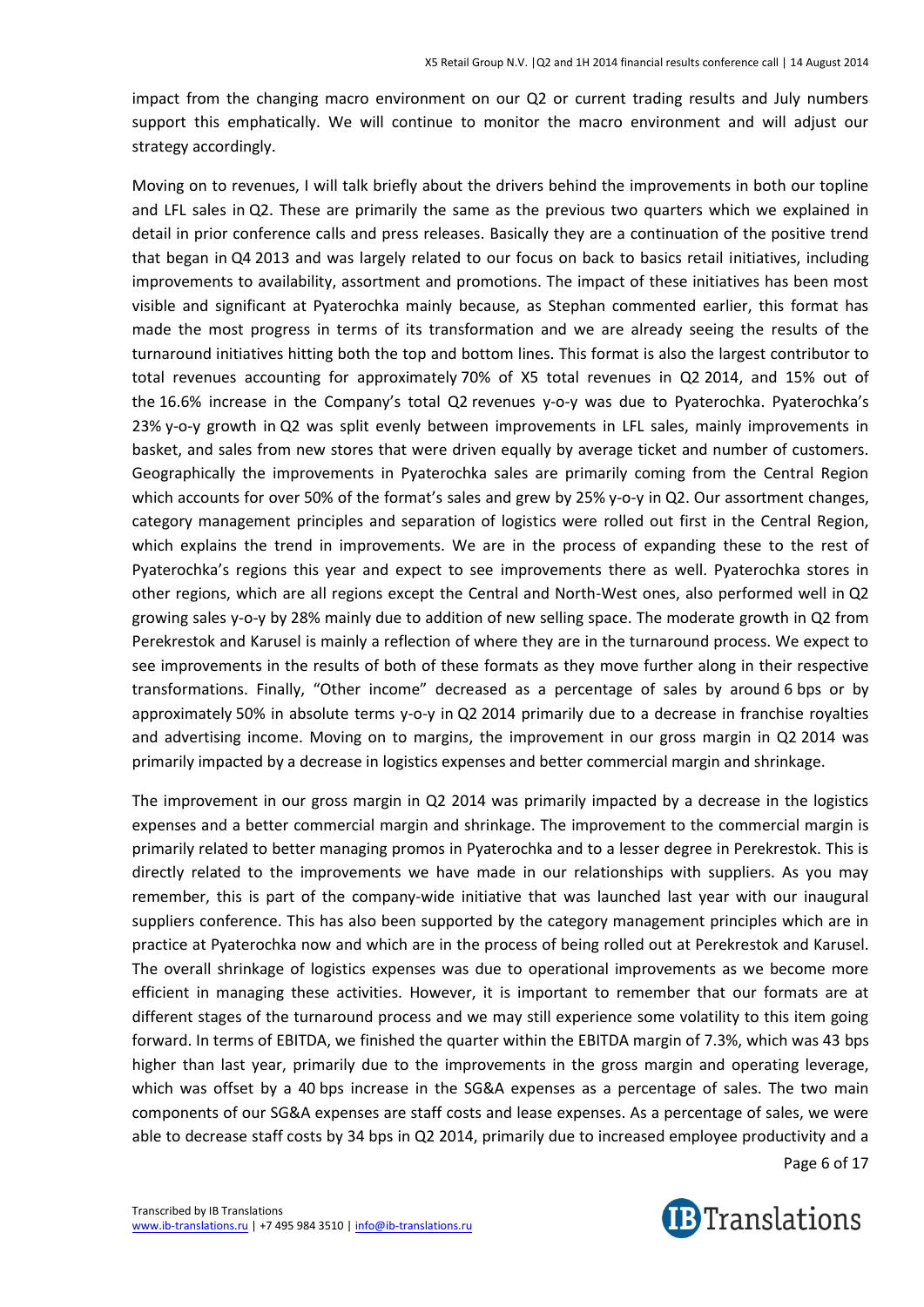impact from the changing macro environment on our Q2 or current trading results and July numbers support this emphatically. We will continue to monitor the macro environment and will adjust our strategy accordingly.

Moving on to revenues, I will talk briefly about the drivers behind the improvements in both our topline and LFL sales in Q2. These are primarily the same as the previous two quarters which we explained in detail in prior conference calls and press releases. Basically they are a continuation of the positive trend that began in Q4 2013 and was largely related to our focus on back to basics retail initiatives, including improvements to availability, assortment and promotions. The impact of these initiatives has been most visible and significant at Pyaterochka mainly because, as Stephan commented earlier, this format has made the most progress in terms of its transformation and we are already seeing the results of the turnaround initiatives hitting both the top and bottom lines. This format is also the largest contributor to total revenues accounting for approximately 70% of X5 total revenues in Q2 2014, and 15% out of the 16.6% increase in the Company's total Q2 revenues y-o-y was due to Pyaterochka. Pyaterochka's 23% y-o-y growth in Q2 was split evenly between improvements in LFL sales, mainly improvements in basket, and sales from new stores that were driven equally by average ticket and number of customers. Geographically the improvements in Pyaterochka sales are primarily coming from the Central Region which accounts for over 50% of the format's sales and grew by 25% y-o-y in Q2. Our assortment changes, category management principles and separation of logistics were rolled out first in the Central Region, which explains the trend in improvements. We are in the process of expanding these to the rest of Pyaterochka's regions this year and expect to see improvements there as well. Pyaterochka stores in other regions, which are all regions except the Central and North-West ones, also performed well in Q2 growing sales y-o-y by 28% mainly due to addition of new selling space. The moderate growth in Q2 from Perekrestok and Karusel is mainly a reflection of where they are in the turnaround process. We expect to see improvements in the results of both of these formats as they move further along in their respective transformations. Finally, "Other income" decreased as a percentage of sales by around 6 bps or by approximately 50% in absolute terms y-o-y in Q2 2014 primarily due to a decrease in franchise royalties and advertising income. Moving on to margins, the improvement in our gross margin in Q2 2014 was primarily impacted by a decrease in logistics expenses and better commercial margin and shrinkage.

The improvement in our gross margin in Q2 2014 was primarily impacted by a decrease in the logistics expenses and a better commercial margin and shrinkage. The improvement to the commercial margin is primarily related to better managing promos in Pyaterochka and to a lesser degree in Perekrestok. This is directly related to the improvements we have made in our relationships with suppliers. As you may remember, this is part of the company-wide initiative that was launched last year with our inaugural suppliers conference. This has also been supported by the category management principles which are in practice at Pyaterochka now and which are in the process of being rolled out at Perekrestok and Karusel. The overall shrinkage of logistics expenses was due to operational improvements as we become more efficient in managing these activities. However, it is important to remember that our formats are at different stages of the turnaround process and we may still experience some volatility to this item going forward. In terms of EBITDA, we finished the quarter within the EBITDA margin of 7.3%, which was 43 bps higher than last year, primarily due to the improvements in the gross margin and operating leverage, which was offset by a 40 bps increase in the SG&A expenses as a percentage of sales. The two main components of our SG&A expenses are staff costs and lease expenses. As a percentage of sales, we were able to decrease staff costs by 34 bps in Q2 2014, primarily due to increased employee productivity and a

Page 6 of 17

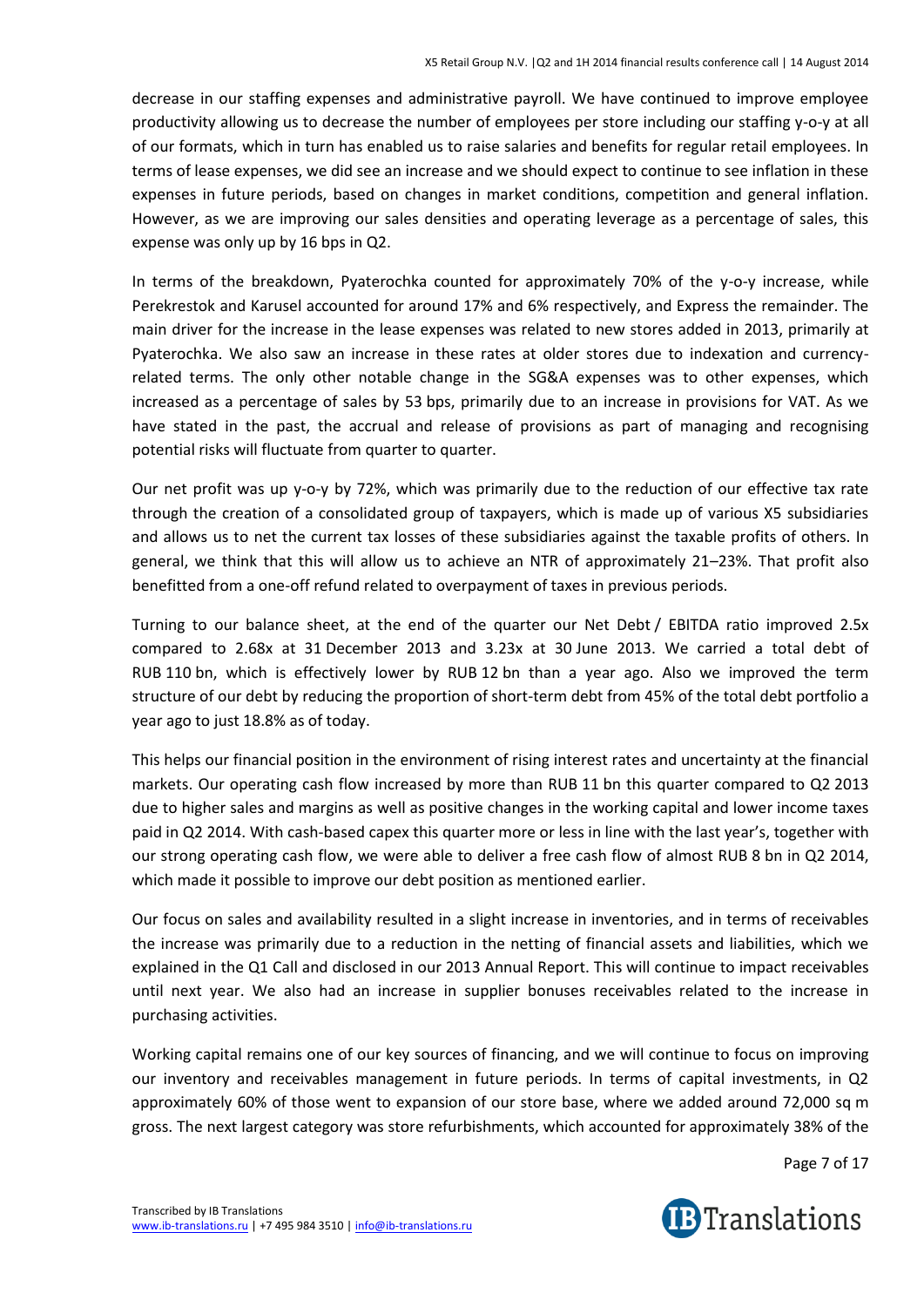decrease in our staffing expenses and administrative payroll. We have continued to improve employee productivity allowing us to decrease the number of employees per store including our staffing y-o-y at all of our formats, which in turn has enabled us to raise salaries and benefits for regular retail employees. In terms of lease expenses, we did see an increase and we should expect to continue to see inflation in these expenses in future periods, based on changes in market conditions, competition and general inflation. However, as we are improving our sales densities and operating leverage as a percentage of sales, this expense was only up by 16 bps in Q2.

In terms of the breakdown, Pyaterochka counted for approximately 70% of the y-o-y increase, while Perekrestok and Karusel accounted for around 17% and 6% respectively, and Express the remainder. The main driver for the increase in the lease expenses was related to new stores added in 2013, primarily at Pyaterochka. We also saw an increase in these rates at older stores due to indexation and currencyrelated terms. The only other notable change in the SG&A expenses was to other expenses, which increased as a percentage of sales by 53 bps, primarily due to an increase in provisions for VAT. As we have stated in the past, the accrual and release of provisions as part of managing and recognising potential risks will fluctuate from quarter to quarter.

Our net profit was up y-o-y by 72%, which was primarily due to the reduction of our effective tax rate through the creation of a consolidated group of taxpayers, which is made up of various X5 subsidiaries and allows us to net the current tax losses of these subsidiaries against the taxable profits of others. In general, we think that this will allow us to achieve an NTR of approximately 21–23%. That profit also benefitted from a one-off refund related to overpayment of taxes in previous periods.

Turning to our balance sheet, at the end of the quarter our Net Debt / EBITDA ratio improved 2.5x compared to 2.68x at 31 December 2013 and 3.23x at 30 June 2013. We carried a total debt of RUB 110 bn, which is effectively lower by RUB 12 bn than a year ago. Also we improved the term structure of our debt by reducing the proportion of short-term debt from 45% of the total debt portfolio a year ago to just 18.8% as of today.

This helps our financial position in the environment of rising interest rates and uncertainty at the financial markets. Our operating cash flow increased by more than RUB 11 bn this quarter compared to Q2 2013 due to higher sales and margins as well as positive changes in the working capital and lower income taxes paid in Q2 2014. With cash-based capex this quarter more or less in line with the last year's, together with our strong operating cash flow, we were able to deliver a free cash flow of almost RUB 8 bn in Q2 2014, which made it possible to improve our debt position as mentioned earlier.

Our focus on sales and availability resulted in a slight increase in inventories, and in terms of receivables the increase was primarily due to a reduction in the netting of financial assets and liabilities, which we explained in the Q1 Call and disclosed in our 2013 Annual Report. This will continue to impact receivables until next year. We also had an increase in supplier bonuses receivables related to the increase in purchasing activities.

Working capital remains one of our key sources of financing, and we will continue to focus on improving our inventory and receivables management in future periods. In terms of capital investments, in Q2 approximately 60% of those went to expansion of our store base, where we added around 72,000 sq m gross. The next largest category was store refurbishments, which accounted for approximately 38% of the

Page 7 of 17

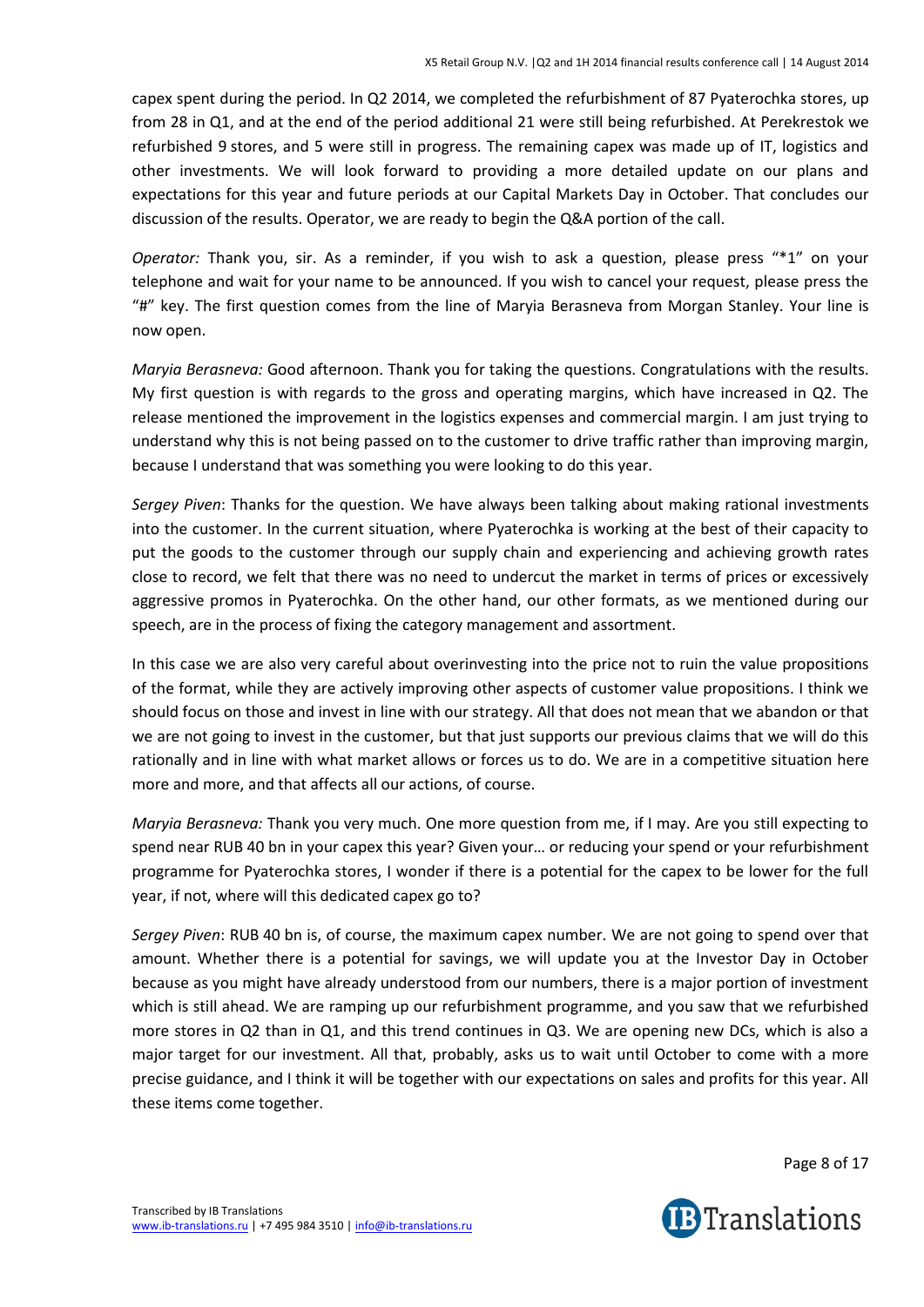capex spent during the period. In Q2 2014, we completed the refurbishment of 87 Pyaterochka stores, up from 28 in Q1, and at the end of the period additional 21 were still being refurbished. At Perekrestok we refurbished 9 stores, and 5 were still in progress. The remaining capex was made up of IT, logistics and other investments. We will look forward to providing a more detailed update on our plans and expectations for this year and future periods at our Capital Markets Day in October. That concludes our discussion of the results. Operator, we are ready to begin the Q&A portion of the call.

*Operator:* Thank you, sir. As a reminder, if you wish to ask a question, please press "\*1" on your telephone and wait for your name to be announced. If you wish to cancel your request, please press the "#" key. The first question comes from the line of Maryia Berasneva from Morgan Stanley. Your line is now open.

*Maryia Berasneva:* Good afternoon. Thank you for taking the questions. Congratulations with the results. My first question is with regards to the gross and operating margins, which have increased in Q2. The release mentioned the improvement in the logistics expenses and commercial margin. I am just trying to understand why this is not being passed on to the customer to drive traffic rather than improving margin, because I understand that was something you were looking to do this year.

*Sergey Piven*: Thanks for the question. We have always been talking about making rational investments into the customer. In the current situation, where Pyaterochka is working at the best of their capacity to put the goods to the customer through our supply chain and experiencing and achieving growth rates close to record, we felt that there was no need to undercut the market in terms of prices or excessively aggressive promos in Pyaterochka. On the other hand, our other formats, as we mentioned during our speech, are in the process of fixing the category management and assortment.

In this case we are also very careful about overinvesting into the price not to ruin the value propositions of the format, while they are actively improving other aspects of customer value propositions. I think we should focus on those and invest in line with our strategy. All that does not mean that we abandon or that we are not going to invest in the customer, but that just supports our previous claims that we will do this rationally and in line with what market allows or forces us to do. We are in a competitive situation here more and more, and that affects all our actions, of course.

*Maryia Berasneva:* Thank you very much. One more question from me, if I may. Are you still expecting to spend near RUB 40 bn in your capex this year? Given your… or reducing your spend or your refurbishment programme for Pyaterochka stores, I wonder if there is a potential for the capex to be lower for the full year, if not, where will this dedicated capex go to?

*Sergey Piven*: RUB 40 bn is, of course, the maximum capex number. We are not going to spend over that amount. Whether there is a potential for savings, we will update you at the Investor Day in October because as you might have already understood from our numbers, there is a major portion of investment which is still ahead. We are ramping up our refurbishment programme, and you saw that we refurbished more stores in Q2 than in Q1, and this trend continues in Q3. We are opening new DCs, which is also a major target for our investment. All that, probably, asks us to wait until October to come with a more precise guidance, and I think it will be together with our expectations on sales and profits for this year. All these items come together.

Page 8 of 17

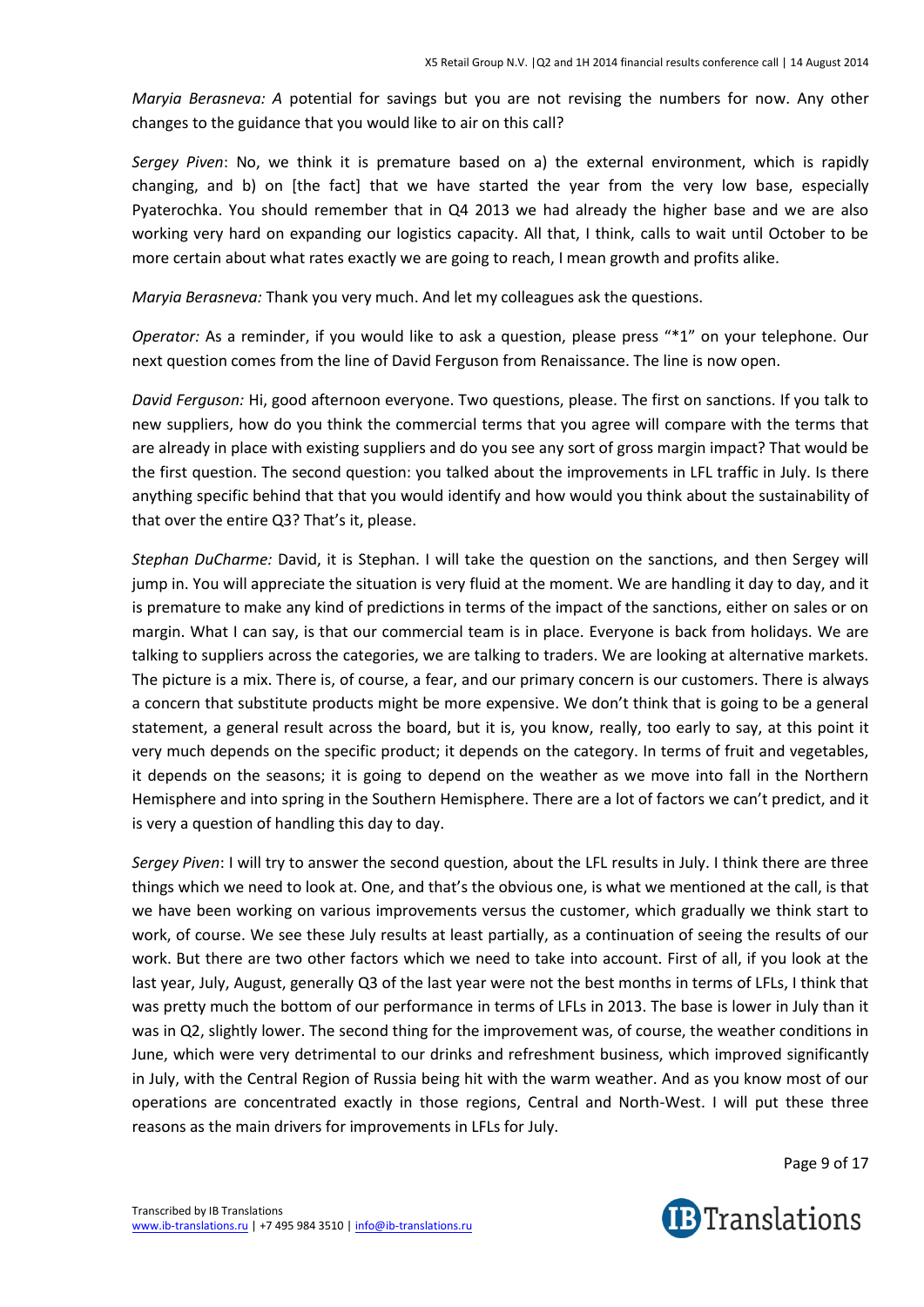*Maryia Berasneva: A* potential for savings but you are not revising the numbers for now. Any other changes to the guidance that you would like to air on this call?

*Sergey Piven*: No, we think it is premature based on a) the external environment, which is rapidly changing, and b) on [the fact] that we have started the year from the very low base, especially Pyaterochka. You should remember that in Q4 2013 we had already the higher base and we are also working very hard on expanding our logistics capacity. All that, I think, calls to wait until October to be more certain about what rates exactly we are going to reach, I mean growth and profits alike.

*Maryia Berasneva:* Thank you very much. And let my colleagues ask the questions.

*Operator:* As a reminder, if you would like to ask a question, please press "\*1" on your telephone. Our next question comes from the line of David Ferguson from Renaissance. The line is now open.

*David Ferguson:* Hi, good afternoon everyone. Two questions, please. The first on sanctions. If you talk to new suppliers, how do you think the commercial terms that you agree will compare with the terms that are already in place with existing suppliers and do you see any sort of gross margin impact? That would be the first question. The second question: you talked about the improvements in LFL traffic in July. Is there anything specific behind that that you would identify and how would you think about the sustainability of that over the entire Q3? That's it, please.

*Stephan DuCharme:* David, it is Stephan. I will take the question on the sanctions, and then Sergey will jump in. You will appreciate the situation is very fluid at the moment. We are handling it day to day, and it is premature to make any kind of predictions in terms of the impact of the sanctions, either on sales or on margin. What I can say, is that our commercial team is in place. Everyone is back from holidays. We are talking to suppliers across the categories, we are talking to traders. We are looking at alternative markets. The picture is a mix. There is, of course, a fear, and our primary concern is our customers. There is always a concern that substitute products might be more expensive. We don't think that is going to be a general statement, a general result across the board, but it is, you know, really, too early to say, at this point it very much depends on the specific product; it depends on the category. In terms of fruit and vegetables, it depends on the seasons; it is going to depend on the weather as we move into fall in the Northern Hemisphere and into spring in the Southern Hemisphere. There are a lot of factors we can't predict, and it is very a question of handling this day to day.

*Sergey Piven*: I will try to answer the second question, about the LFL results in July. I think there are three things which we need to look at. One, and that's the obvious one, is what we mentioned at the call, is that we have been working on various improvements versus the customer, which gradually we think start to work, of course. We see these July results at least partially, as a continuation of seeing the results of our work. But there are two other factors which we need to take into account. First of all, if you look at the last year, July, August, generally Q3 of the last year were not the best months in terms of LFLs, I think that was pretty much the bottom of our performance in terms of LFLs in 2013. The base is lower in July than it was in Q2, slightly lower. The second thing for the improvement was, of course, the weather conditions in June, which were very detrimental to our drinks and refreshment business, which improved significantly in July, with the Central Region of Russia being hit with the warm weather. And as you know most of our operations are concentrated exactly in those regions, Central and North-West. I will put these three reasons as the main drivers for improvements in LFLs for July.

Page 9 of 17

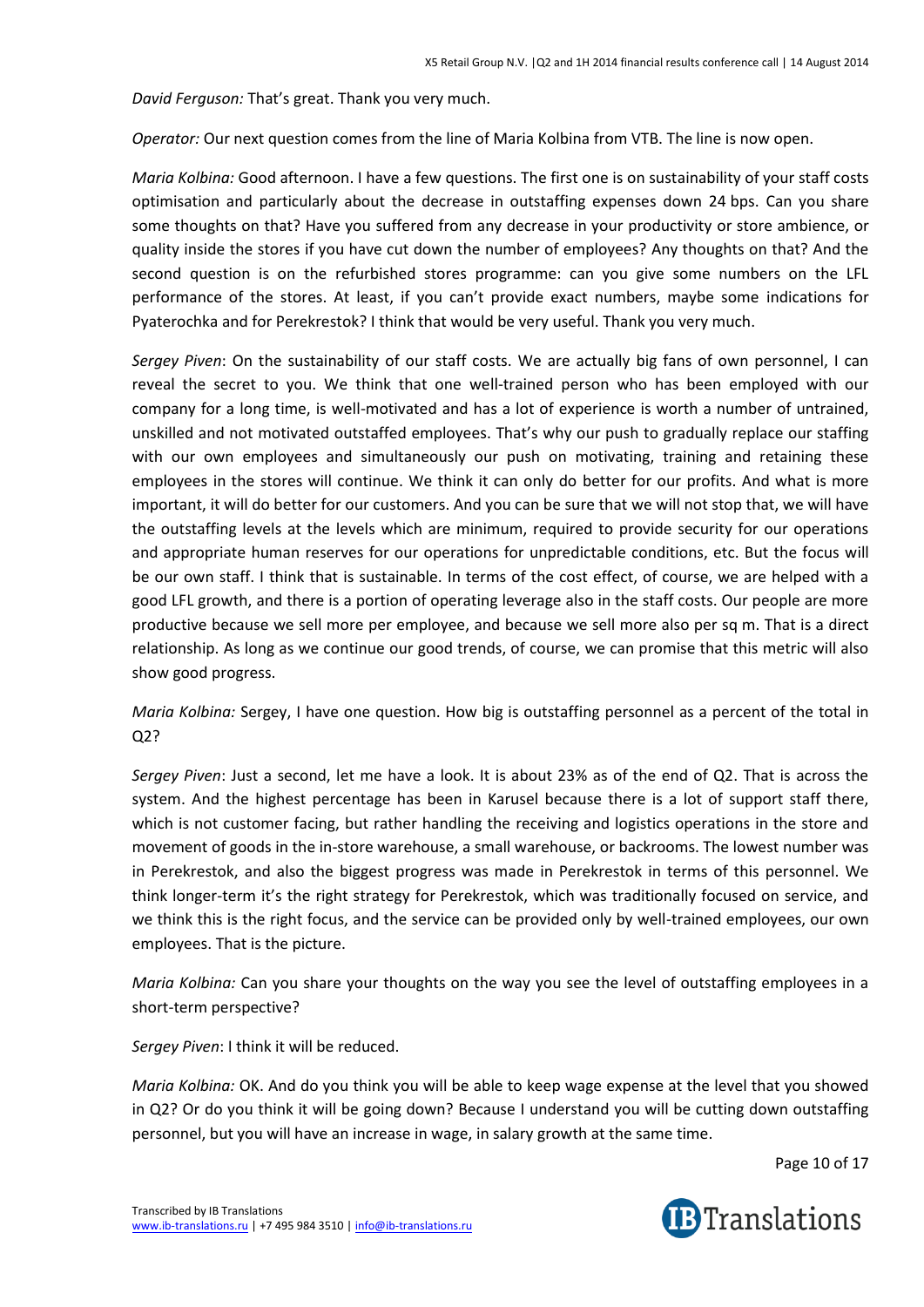*David Ferguson:* That's great. Thank you very much.

*Operator:* Our next question comes from the line of Maria Kolbina from VTB. The line is now open.

*Maria Kolbina:* Good afternoon. I have a few questions. The first one is on sustainability of your staff costs optimisation and particularly about the decrease in outstaffing expenses down 24 bps. Can you share some thoughts on that? Have you suffered from any decrease in your productivity or store ambience, or quality inside the stores if you have cut down the number of employees? Any thoughts on that? And the second question is on the refurbished stores programme: can you give some numbers on the LFL performance of the stores. At least, if you can't provide exact numbers, maybe some indications for Pyaterochka and for Perekrestok? I think that would be very useful. Thank you very much.

*Sergey Piven*: On the sustainability of our staff costs. We are actually big fans of own personnel, I can reveal the secret to you. We think that one well-trained person who has been employed with our company for a long time, is well-motivated and has a lot of experience is worth a number of untrained, unskilled and not motivated outstaffed employees. That's why our push to gradually replace our staffing with our own employees and simultaneously our push on motivating, training and retaining these employees in the stores will continue. We think it can only do better for our profits. And what is more important, it will do better for our customers. And you can be sure that we will not stop that, we will have the outstaffing levels at the levels which are minimum, required to provide security for our operations and appropriate human reserves for our operations for unpredictable conditions, etc. But the focus will be our own staff. I think that is sustainable. In terms of the cost effect, of course, we are helped with a good LFL growth, and there is a portion of operating leverage also in the staff costs. Our people are more productive because we sell more per employee, and because we sell more also per sq m. That is a direct relationship. As long as we continue our good trends, of course, we can promise that this metric will also show good progress.

*Maria Kolbina:* Sergey, I have one question. How big is outstaffing personnel as a percent of the total in Q2?

*Sergey Piven*: Just a second, let me have a look. It is about 23% as of the end of Q2. That is across the system. And the highest percentage has been in Karusel because there is a lot of support staff there, which is not customer facing, but rather handling the receiving and logistics operations in the store and movement of goods in the in-store warehouse, a small warehouse, or backrooms. The lowest number was in Perekrestok, and also the biggest progress was made in Perekrestok in terms of this personnel. We think longer-term it's the right strategy for Perekrestok, which was traditionally focused on service, and we think this is the right focus, and the service can be provided only by well-trained employees, our own employees. That is the picture.

*Maria Kolbina:* Can you share your thoughts on the way you see the level of outstaffing employees in a short-term perspective?

*Sergey Piven*: I think it will be reduced.

*Maria Kolbina:* OK. And do you think you will be able to keep wage expense at the level that you showed in Q2? Or do you think it will be going down? Because I understand you will be cutting down outstaffing personnel, but you will have an increase in wage, in salary growth at the same time.

Page 10 of 17

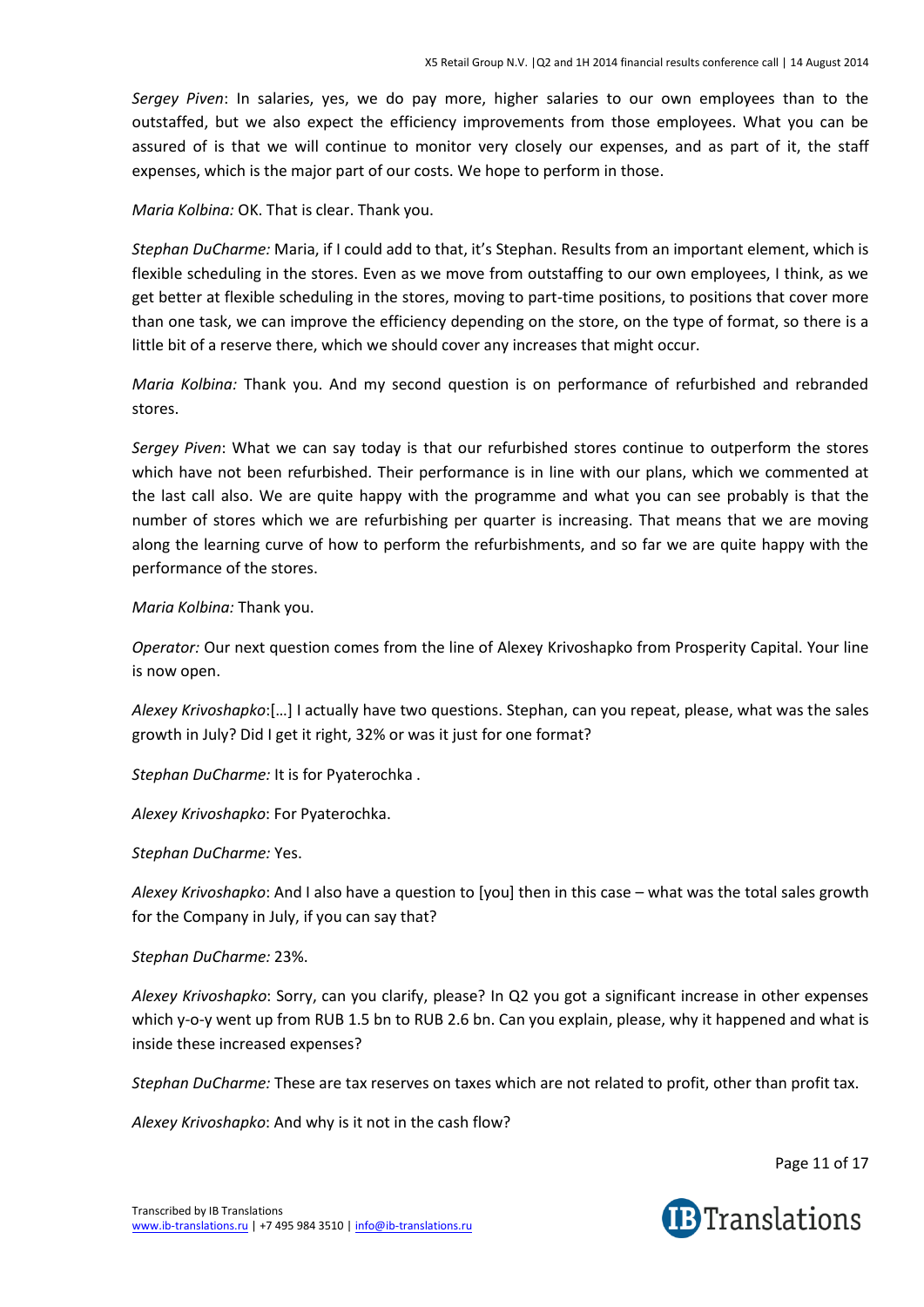*Sergey Piven*: In salaries, yes, we do pay more, higher salaries to our own employees than to the outstaffed, but we also expect the efficiency improvements from those employees. What you can be assured of is that we will continue to monitor very closely our expenses, and as part of it, the staff expenses, which is the major part of our costs. We hope to perform in those.

*Maria Kolbina:* OK. That is clear. Thank you.

*Stephan DuCharme:* Maria, if I could add to that, it's Stephan. Results from an important element, which is flexible scheduling in the stores. Even as we move from outstaffing to our own employees, I think, as we get better at flexible scheduling in the stores, moving to part-time positions, to positions that cover more than one task, we can improve the efficiency depending on the store, on the type of format, so there is a little bit of a reserve there, which we should cover any increases that might occur.

*Maria Kolbina:* Thank you. And my second question is on performance of refurbished and rebranded stores.

*Sergey Piven*: What we can say today is that our refurbished stores continue to outperform the stores which have not been refurbished. Their performance is in line with our plans, which we commented at the last call also. We are quite happy with the programme and what you can see probably is that the number of stores which we are refurbishing per quarter is increasing. That means that we are moving along the learning curve of how to perform the refurbishments, and so far we are quite happy with the performance of the stores.

*Maria Kolbina:* Thank you.

*Operator:* Our next question comes from the line of Alexey Krivoshapko from Prosperity Capital. Your line is now open.

*Alexey Krivoshapko*:[…] I actually have two questions. Stephan, can you repeat, please, what was the sales growth in July? Did I get it right, 32% or was it just for one format?

*Stephan DuCharme:* It is for Pyaterochka .

*Alexey Krivoshapko*: For Pyaterochka.

*Stephan DuCharme:* Yes.

*Alexey Krivoshapko*: And I also have a question to [you] then in this case – what was the total sales growth for the Company in July, if you can say that?

# *Stephan DuCharme:* 23%.

*Alexey Krivoshapko*: Sorry, can you clarify, please? In Q2 you got a significant increase in other expenses which y-o-y went up from RUB 1.5 bn to RUB 2.6 bn. Can you explain, please, why it happened and what is inside these increased expenses?

*Stephan DuCharme:* These are tax reserves on taxes which are not related to profit, other than profit tax.

*Alexey Krivoshapko*: And why is it not in the cash flow?

Page 11 of 17

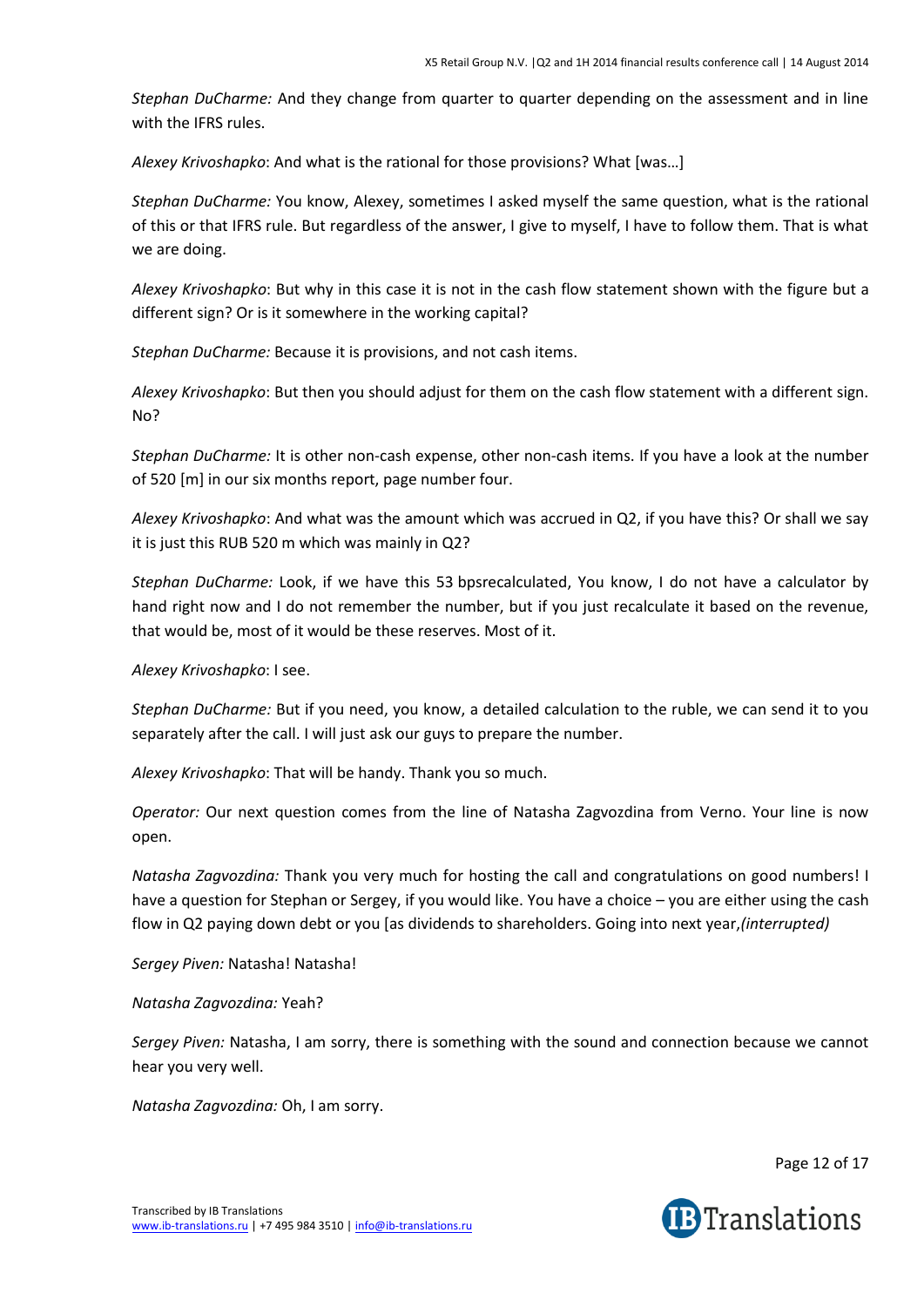*Stephan DuCharme:* And they change from quarter to quarter depending on the assessment and in line with the IFRS rules.

*Alexey Krivoshapko*: And what is the rational for those provisions? What [was…]

*Stephan DuCharme:* You know, Alexey, sometimes I asked myself the same question, what is the rational of this or that IFRS rule. But regardless of the answer, I give to myself, I have to follow them. That is what we are doing.

*Alexey Krivoshapko*: But why in this case it is not in the cash flow statement shown with the figure but a different sign? Or is it somewhere in the working capital?

*Stephan DuCharme:* Because it is provisions, and not cash items.

*Alexey Krivoshapko*: But then you should adjust for them on the cash flow statement with a different sign. No?

*Stephan DuCharme:* It is other non-cash expense, other non-cash items. If you have a look at the number of 520 [m] in our six months report, page number four.

*Alexey Krivoshapko*: And what was the amount which was accrued in Q2, if you have this? Or shall we say it is just this RUB 520 m which was mainly in Q2?

*Stephan DuCharme:* Look, if we have this 53 bpsrecalculated, You know, I do not have a calculator by hand right now and I do not remember the number, but if you just recalculate it based on the revenue, that would be, most of it would be these reserves. Most of it.

*Alexey Krivoshapko*: I see.

*Stephan DuCharme:* But if you need, you know, a detailed calculation to the ruble, we can send it to you separately after the call. I will just ask our guys to prepare the number.

*Alexey Krivoshapko*: That will be handy. Thank you so much.

*Operator:* Our next question comes from the line of Natasha Zagvozdina from Verno. Your line is now open.

*Natasha Zagvozdina:* Thank you very much for hosting the call and congratulations on good numbers! I have a question for Stephan or Sergey, if you would like. You have a choice – you are either using the cash flow in Q2 paying down debt or you [as dividends to shareholders. Going into next year,*(interrupted)*

*Sergey Piven:* Natasha! Natasha!

## *Natasha Zagvozdina:* Yeah?

*Sergey Piven:* Natasha, I am sorry, there is something with the sound and connection because we cannot hear you very well.

*Natasha Zagvozdina:* Oh, I am sorry.

Page 12 of 17

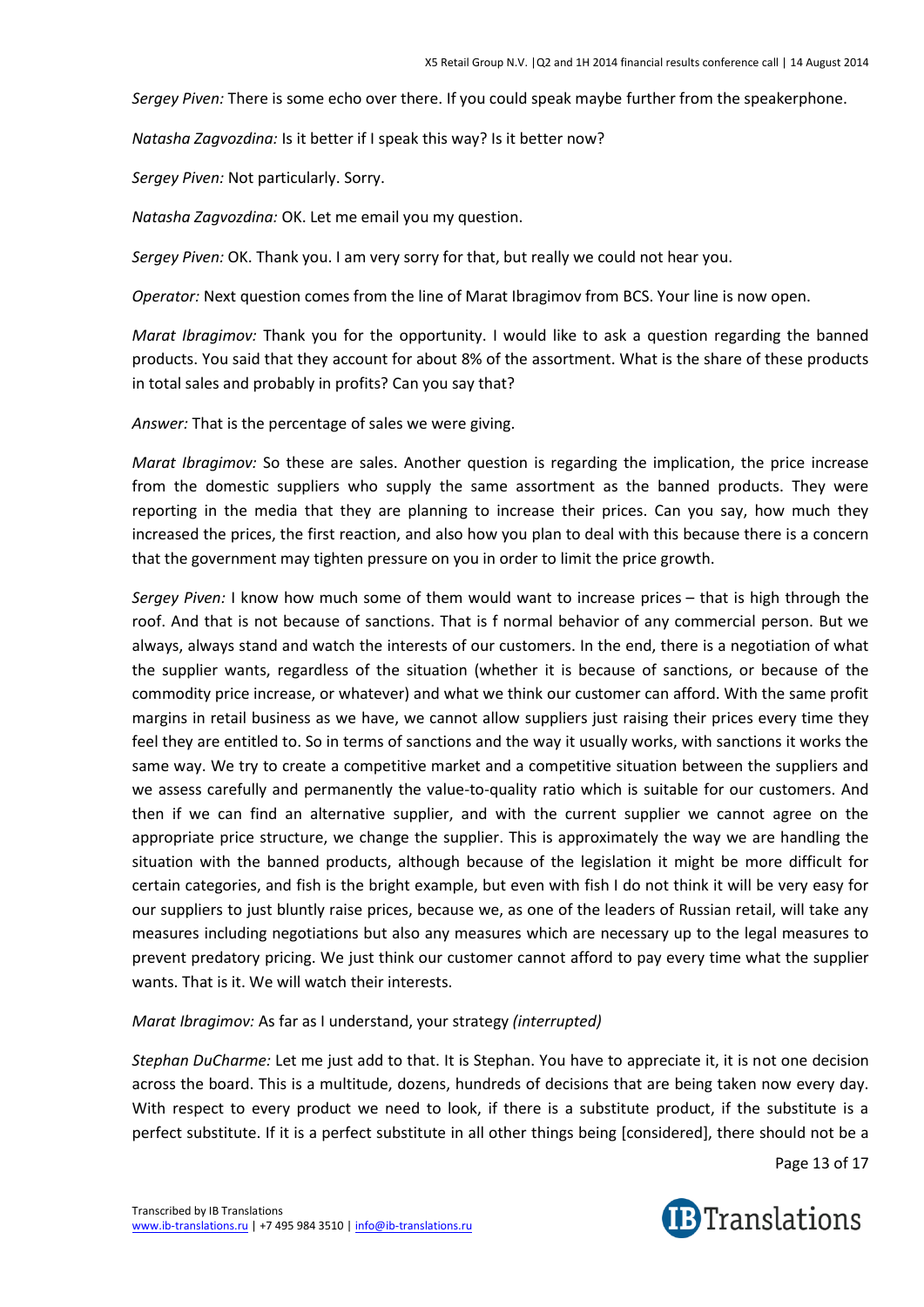*Sergey Piven:* There is some echo over there. If you could speak maybe further from the speakerphone.

*Natasha Zagvozdina:* Is it better if I speak this way? Is it better now?

*Sergey Piven:* Not particularly. Sorry.

*Natasha Zagvozdina:* OK. Let me email you my question.

*Sergey Piven:* OK. Thank you. I am very sorry for that, but really we could not hear you.

*Operator:* Next question comes from the line of Marat Ibragimov from BCS. Your line is now open.

*Marat Ibragimov:* Thank you for the opportunity. I would like to ask a question regarding the banned products. You said that they account for about 8% of the assortment. What is the share of these products in total sales and probably in profits? Can you say that?

*Answer:* That is the percentage of sales we were giving.

*Marat Ibragimov:* So these are sales. Another question is regarding the implication, the price increase from the domestic suppliers who supply the same assortment as the banned products. They were reporting in the media that they are planning to increase their prices. Can you say, how much they increased the prices, the first reaction, and also how you plan to deal with this because there is a concern that the government may tighten pressure on you in order to limit the price growth.

*Sergey Piven:* I know how much some of them would want to increase prices – that is high through the roof. And that is not because of sanctions. That is f normal behavior of any commercial person. But we always, always stand and watch the interests of our customers. In the end, there is a negotiation of what the supplier wants, regardless of the situation (whether it is because of sanctions, or because of the commodity price increase, or whatever) and what we think our customer can afford. With the same profit margins in retail business as we have, we cannot allow suppliers just raising their prices every time they feel they are entitled to. So in terms of sanctions and the way it usually works, with sanctions it works the same way. We try to create a competitive market and a competitive situation between the suppliers and we assess carefully and permanently the value-to-quality ratio which is suitable for our customers. And then if we can find an alternative supplier, and with the current supplier we cannot agree on the appropriate price structure, we change the supplier. This is approximately the way we are handling the situation with the banned products, although because of the legislation it might be more difficult for certain categories, and fish is the bright example, but even with fish I do not think it will be very easy for our suppliers to just bluntly raise prices, because we, as one of the leaders of Russian retail, will take any measures including negotiations but also any measures which are necessary up to the legal measures to prevent predatory pricing. We just think our customer cannot afford to pay every time what the supplier wants. That is it. We will watch their interests.

## *Marat Ibragimov:* As far as I understand, your strategy *(interrupted)*

*Stephan DuCharme:* Let me just add to that. It is Stephan. You have to appreciate it, it is not one decision across the board. This is a multitude, dozens, hundreds of decisions that are being taken now every day. With respect to every product we need to look, if there is a substitute product, if the substitute is a perfect substitute. If it is a perfect substitute in all other things being [considered], there should not be a

Page 13 of 17

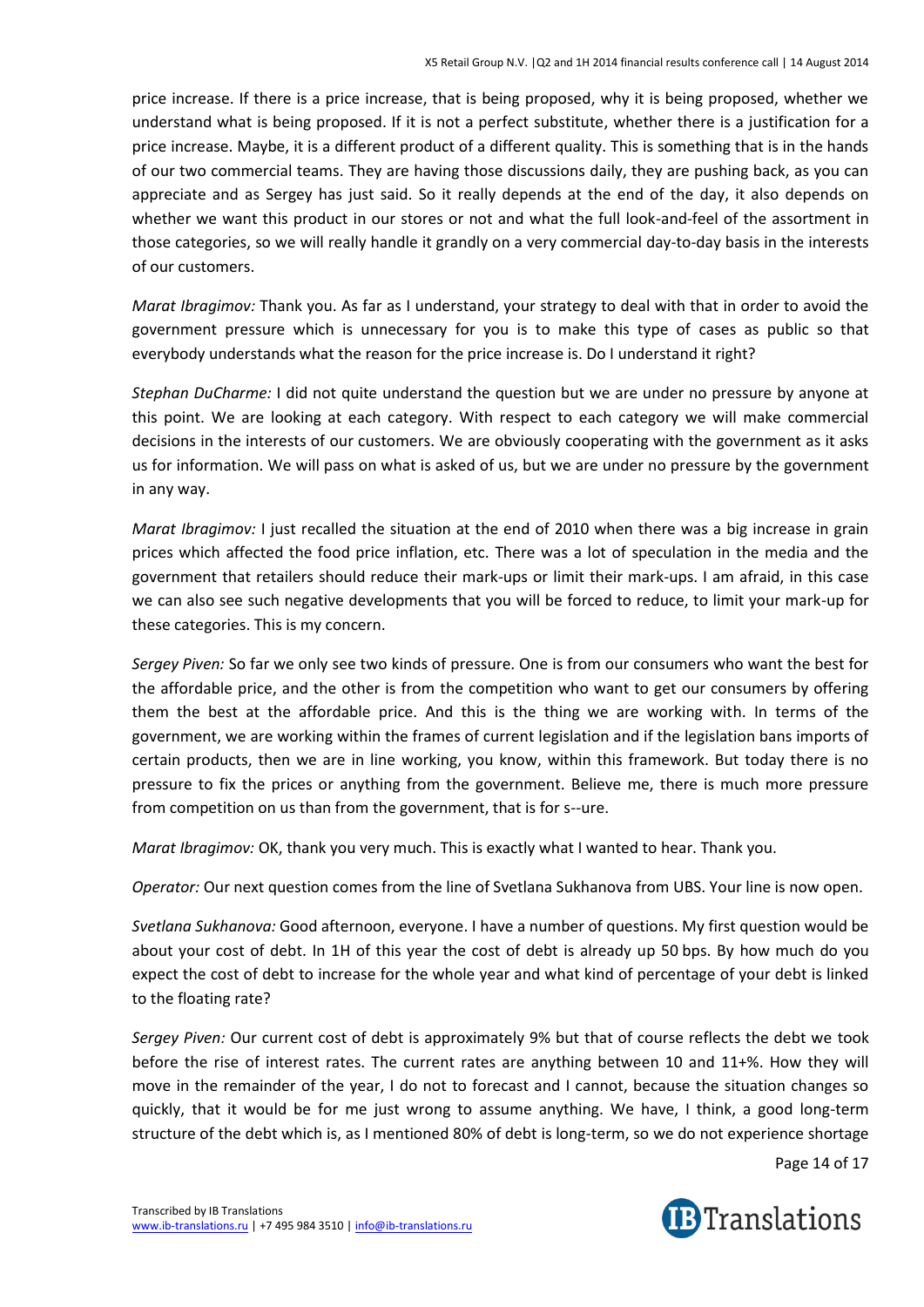price increase. If there is a price increase, that is being proposed, why it is being proposed, whether we understand what is being proposed. If it is not a perfect substitute, whether there is a justification for a price increase. Maybe, it is a different product of a different quality. This is something that is in the hands of our two commercial teams. They are having those discussions daily, they are pushing back, as you can appreciate and as Sergey has just said. So it really depends at the end of the day, it also depends on whether we want this product in our stores or not and what the full look-and-feel of the assortment in those categories, so we will really handle it grandly on a very commercial day-to-day basis in the interests of our customers.

*Marat Ibragimov:* Thank you. As far as I understand, your strategy to deal with that in order to avoid the government pressure which is unnecessary for you is to make this type of cases as public so that everybody understands what the reason for the price increase is. Do I understand it right?

*Stephan DuCharme:* I did not quite understand the question but we are under no pressure by anyone at this point. We are looking at each category. With respect to each category we will make commercial decisions in the interests of our customers. We are obviously cooperating with the government as it asks us for information. We will pass on what is asked of us, but we are under no pressure by the government in any way.

*Marat Ibragimov:* I just recalled the situation at the end of 2010 when there was a big increase in grain prices which affected the food price inflation, etc. There was a lot of speculation in the media and the government that retailers should reduce their mark-ups or limit their mark-ups. I am afraid, in this case we can also see such negative developments that you will be forced to reduce, to limit your mark-up for these categories. This is my concern.

*Sergey Piven:* So far we only see two kinds of pressure. One is from our consumers who want the best for the affordable price, and the other is from the competition who want to get our consumers by offering them the best at the affordable price. And this is the thing we are working with. In terms of the government, we are working within the frames of current legislation and if the legislation bans imports of certain products, then we are in line working, you know, within this framework. But today there is no pressure to fix the prices or anything from the government. Believe me, there is much more pressure from competition on us than from the government, that is for s--ure.

*Marat Ibragimov:* OK, thank you very much. This is exactly what I wanted to hear. Thank you.

*Operator:* Our next question comes from the line of Svetlana Sukhanova from UBS. Your line is now open.

*Svetlana Sukhanova:* Good afternoon, everyone. I have a number of questions. My first question would be about your cost of debt. In 1H of this year the cost of debt is already up 50 bps. By how much do you expect the cost of debt to increase for the whole year and what kind of percentage of your debt is linked to the floating rate?

*Sergey Piven:* Our current cost of debt is approximately 9% but that of course reflects the debt we took before the rise of interest rates. The current rates are anything between 10 and 11+%. How they will move in the remainder of the year, I do not to forecast and I cannot, because the situation changes so quickly, that it would be for me just wrong to assume anything. We have, I think, a good long-term structure of the debt which is, as I mentioned 80% of debt is long-term, so we do not experience shortage

Page 14 of 17

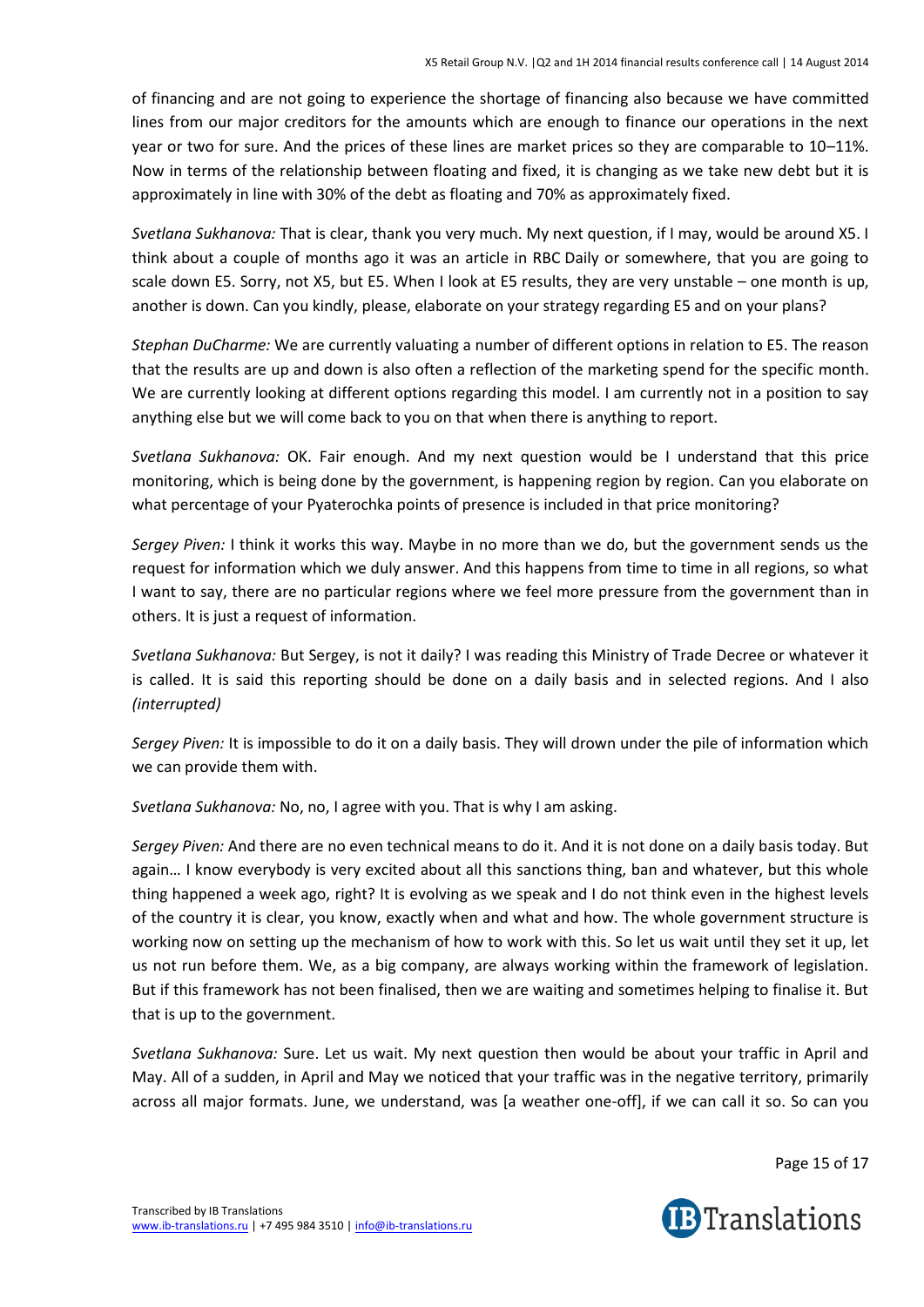of financing and are not going to experience the shortage of financing also because we have committed lines from our major creditors for the amounts which are enough to finance our operations in the next year or two for sure. And the prices of these lines are market prices so they are comparable to 10–11%. Now in terms of the relationship between floating and fixed, it is changing as we take new debt but it is approximately in line with 30% of the debt as floating and 70% as approximately fixed.

*Svetlana Sukhanova:* That is clear, thank you very much. My next question, if I may, would be around X5. I think about a couple of months ago it was an article in RBC Daily or somewhere, that you are going to scale down E5. Sorry, not X5, but E5. When I look at E5 results, they are very unstable – one month is up, another is down. Can you kindly, please, elaborate on your strategy regarding E5 and on your plans?

*Stephan DuCharme:* We are currently valuating a number of different options in relation to E5. The reason that the results are up and down is also often a reflection of the marketing spend for the specific month. We are currently looking at different options regarding this model. I am currently not in a position to say anything else but we will come back to you on that when there is anything to report.

*Svetlana Sukhanova:* OK. Fair enough. And my next question would be I understand that this price monitoring, which is being done by the government, is happening region by region. Can you elaborate on what percentage of your Pyaterochka points of presence is included in that price monitoring?

*Sergey Piven:* I think it works this way. Maybe in no more than we do, but the government sends us the request for information which we duly answer. And this happens from time to time in all regions, so what I want to say, there are no particular regions where we feel more pressure from the government than in others. It is just a request of information.

*Svetlana Sukhanova:* But Sergey, is not it daily? I was reading this Ministry of Trade Decree or whatever it is called. It is said this reporting should be done on a daily basis and in selected regions. And I also *(interrupted)*

*Sergey Piven:* It is impossible to do it on a daily basis. They will drown under the pile of information which we can provide them with.

*Svetlana Sukhanova:* No, no, I agree with you. That is why I am asking.

*Sergey Piven:* And there are no even technical means to do it. And it is not done on a daily basis today. But again… I know everybody is very excited about all this sanctions thing, ban and whatever, but this whole thing happened a week ago, right? It is evolving as we speak and I do not think even in the highest levels of the country it is clear, you know, exactly when and what and how. The whole government structure is working now on setting up the mechanism of how to work with this. So let us wait until they set it up, let us not run before them. We, as a big company, are always working within the framework of legislation. But if this framework has not been finalised, then we are waiting and sometimes helping to finalise it. But that is up to the government.

*Svetlana Sukhanova:* Sure. Let us wait. My next question then would be about your traffic in April and May. All of a sudden, in April and May we noticed that your traffic was in the negative territory, primarily across all major formats. June, we understand, was [a weather one-off], if we can call it so. So can you

Page 15 of 17

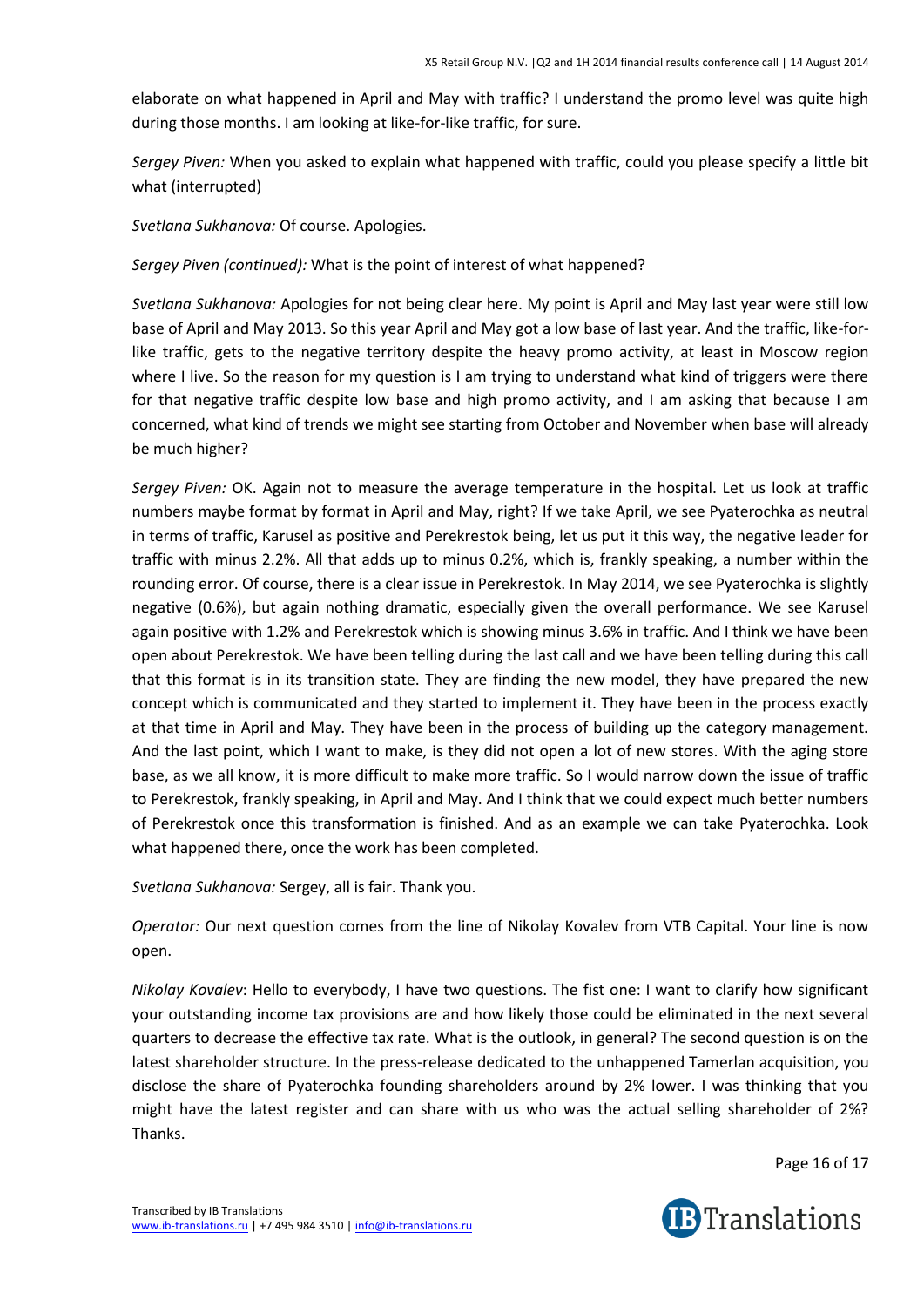elaborate on what happened in April and May with traffic? I understand the promo level was quite high during those months. I am looking at like-for-like traffic, for sure.

*Sergey Piven:* When you asked to explain what happened with traffic, could you please specify a little bit what (interrupted)

*Svetlana Sukhanova:* Of course. Apologies.

*Sergey Piven (continued):* What is the point of interest of what happened?

*Svetlana Sukhanova:* Apologies for not being clear here. My point is April and May last year were still low base of April and May 2013. So this year April and May got a low base of last year. And the traffic, like-forlike traffic, gets to the negative territory despite the heavy promo activity, at least in Moscow region where I live. So the reason for my question is I am trying to understand what kind of triggers were there for that negative traffic despite low base and high promo activity, and I am asking that because I am concerned, what kind of trends we might see starting from October and November when base will already be much higher?

*Sergey Piven:* OK. Again not to measure the average temperature in the hospital. Let us look at traffic numbers maybe format by format in April and May, right? If we take April, we see Pyaterochka as neutral in terms of traffic, Karusel as positive and Perekrestok being, let us put it this way, the negative leader for traffic with minus 2.2%. All that adds up to minus 0.2%, which is, frankly speaking, a number within the rounding error. Of course, there is a clear issue in Perekrestok. In May 2014, we see Pyaterochka is slightly negative (0.6%), but again nothing dramatic, especially given the overall performance. We see Karusel again positive with 1.2% and Perekrestok which is showing minus 3.6% in traffic. And I think we have been open about Perekrestok. We have been telling during the last call and we have been telling during this call that this format is in its transition state. They are finding the new model, they have prepared the new concept which is communicated and they started to implement it. They have been in the process exactly at that time in April and May. They have been in the process of building up the category management. And the last point, which I want to make, is they did not open a lot of new stores. With the aging store base, as we all know, it is more difficult to make more traffic. So I would narrow down the issue of traffic to Perekrestok, frankly speaking, in April and May. And I think that we could expect much better numbers of Perekrestok once this transformation is finished. And as an example we can take Pyaterochka. Look what happened there, once the work has been completed.

*Svetlana Sukhanova:* Sergey, all is fair. Thank you.

*Operator:* Our next question comes from the line of Nikolay Kovalev from VTB Capital. Your line is now open.

*Nikolay Kovalev*: Hello to everybody, I have two questions. The fist one: I want to clarify how significant your outstanding income tax provisions are and how likely those could be eliminated in the next several quarters to decrease the effective tax rate. What is the outlook, in general? The second question is on the latest shareholder structure. In the press-release dedicated to the unhappened Tamerlan acquisition, you disclose the share of Pyaterochka founding shareholders around by 2% lower. I was thinking that you might have the latest register and can share with us who was the actual selling shareholder of 2%? Thanks.

Page 16 of 17